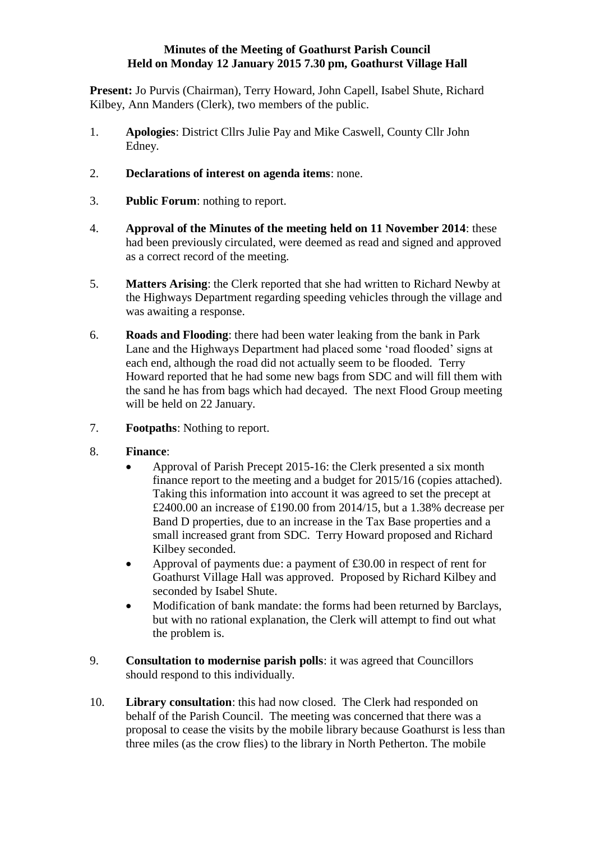## **Minutes of the Meeting of Goathurst Parish Council Held on Monday 12 January 2015 7.30 pm, Goathurst Village Hall**

**Present:** Jo Purvis (Chairman), Terry Howard, John Capell, Isabel Shute, Richard Kilbey, Ann Manders (Clerk), two members of the public.

- 1. **Apologies**: District Cllrs Julie Pay and Mike Caswell, County Cllr John Edney.
- 2. **Declarations of interest on agenda items**: none.
- 3. **Public Forum**: nothing to report.
- 4. **Approval of the Minutes of the meeting held on 11 November 2014**: these had been previously circulated, were deemed as read and signed and approved as a correct record of the meeting.
- 5. **Matters Arising**: the Clerk reported that she had written to Richard Newby at the Highways Department regarding speeding vehicles through the village and was awaiting a response.
- 6. **Roads and Flooding**: there had been water leaking from the bank in Park Lane and the Highways Department had placed some 'road flooded' signs at each end, although the road did not actually seem to be flooded. Terry Howard reported that he had some new bags from SDC and will fill them with the sand he has from bags which had decayed. The next Flood Group meeting will be held on 22 January.
- 7. **Footpaths**: Nothing to report.
- 8. **Finance**:
	- Approval of Parish Precept 2015-16: the Clerk presented a six month finance report to the meeting and a budget for 2015/16 (copies attached). Taking this information into account it was agreed to set the precept at £2400.00 an increase of £190.00 from 2014/15, but a 1.38% decrease per Band D properties, due to an increase in the Tax Base properties and a small increased grant from SDC. Terry Howard proposed and Richard Kilbey seconded.
	- Approval of payments due: a payment of £30.00 in respect of rent for Goathurst Village Hall was approved. Proposed by Richard Kilbey and seconded by Isabel Shute.
	- Modification of bank mandate: the forms had been returned by Barclays, but with no rational explanation, the Clerk will attempt to find out what the problem is.
- 9. **Consultation to modernise parish polls**: it was agreed that Councillors should respond to this individually.
- 10. **Library consultation**: this had now closed. The Clerk had responded on behalf of the Parish Council. The meeting was concerned that there was a proposal to cease the visits by the mobile library because Goathurst is less than three miles (as the crow flies) to the library in North Petherton. The mobile